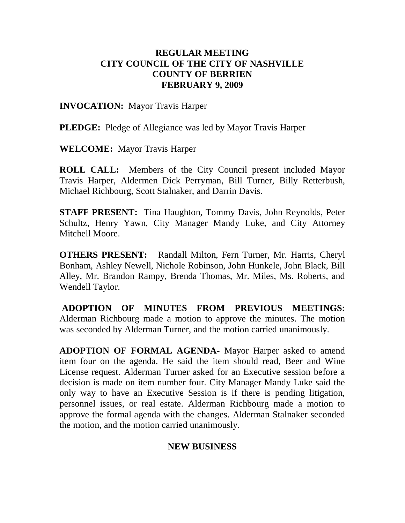#### **REGULAR MEETING CITY COUNCIL OF THE CITY OF NASHVILLE COUNTY OF BERRIEN FEBRUARY 9, 2009**

**INVOCATION:** Mayor Travis Harper

**PLEDGE:** Pledge of Allegiance was led by Mayor Travis Harper

**WELCOME:** Mayor Travis Harper

**ROLL CALL:** Members of the City Council present included Mayor Travis Harper, Aldermen Dick Perryman, Bill Turner, Billy Retterbush, Michael Richbourg, Scott Stalnaker, and Darrin Davis.

**STAFF PRESENT:** Tina Haughton, Tommy Davis, John Reynolds, Peter Schultz, Henry Yawn, City Manager Mandy Luke, and City Attorney Mitchell Moore.

**OTHERS PRESENT:** Randall Milton, Fern Turner, Mr. Harris, Cheryl Bonham, Ashley Newell, Nichole Robinson, John Hunkele, John Black, Bill Alley, Mr. Brandon Rampy, Brenda Thomas, Mr. Miles, Ms. Roberts, and Wendell Taylor.

**ADOPTION OF MINUTES FROM PREVIOUS MEETINGS:**  Alderman Richbourg made a motion to approve the minutes. The motion was seconded by Alderman Turner, and the motion carried unanimously.

**ADOPTION OF FORMAL AGENDA-** Mayor Harper asked to amend item four on the agenda. He said the item should read, Beer and Wine License request. Alderman Turner asked for an Executive session before a decision is made on item number four. City Manager Mandy Luke said the only way to have an Executive Session is if there is pending litigation, personnel issues, or real estate. Alderman Richbourg made a motion to approve the formal agenda with the changes. Alderman Stalnaker seconded the motion, and the motion carried unanimously.

#### **NEW BUSINESS**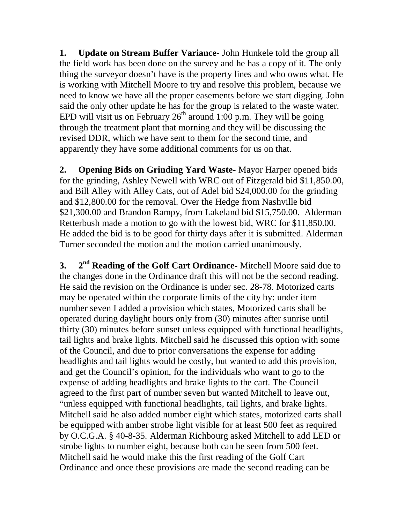**1. Update on Stream Buffer Variance-** John Hunkele told the group all the field work has been done on the survey and he has a copy of it. The only thing the surveyor doesn't have is the property lines and who owns what. He is working with Mitchell Moore to try and resolve this problem, because we need to know we have all the proper easements before we start digging. John said the only other update he has for the group is related to the waste water. EPD will visit us on February  $26<sup>th</sup>$  around 1:00 p.m. They will be going through the treatment plant that morning and they will be discussing the revised DDR, which we have sent to them for the second time, and apparently they have some additional comments for us on that.

**2. Opening Bids on Grinding Yard Waste-** Mayor Harper opened bids for the grinding, Ashley Newell with WRC out of Fitzgerald bid \$11,850.00, and Bill Alley with Alley Cats, out of Adel bid \$24,000.00 for the grinding and \$12,800.00 for the removal. Over the Hedge from Nashville bid \$21,300.00 and Brandon Rampy, from Lakeland bid \$15,750.00. Alderman Retterbush made a motion to go with the lowest bid, WRC for \$11,850.00. He added the bid is to be good for thirty days after it is submitted. Alderman Turner seconded the motion and the motion carried unanimously.

**3. 2<sup>nd</sup> Reading of the Golf Cart Ordinance-** Mitchell Moore said due to the changes done in the Ordinance draft this will not be the second reading. He said the revision on the Ordinance is under sec. 28-78. Motorized carts may be operated within the corporate limits of the city by: under item number seven I added a provision which states, Motorized carts shall be operated during daylight hours only from (30) minutes after sunrise until thirty (30) minutes before sunset unless equipped with functional headlights, tail lights and brake lights. Mitchell said he discussed this option with some of the Council, and due to prior conversations the expense for adding headlights and tail lights would be costly, but wanted to add this provision, and get the Council's opinion, for the individuals who want to go to the expense of adding headlights and brake lights to the cart. The Council agreed to the first part of number seven but wanted Mitchell to leave out, "unless equipped with functional headlights, tail lights, and brake lights. Mitchell said he also added number eight which states, motorized carts shall be equipped with amber strobe light visible for at least 500 feet as required by O.C.G.A. § 40-8-35. Alderman Richbourg asked Mitchell to add LED or strobe lights to number eight, because both can be seen from 500 feet. Mitchell said he would make this the first reading of the Golf Cart Ordinance and once these provisions are made the second reading can be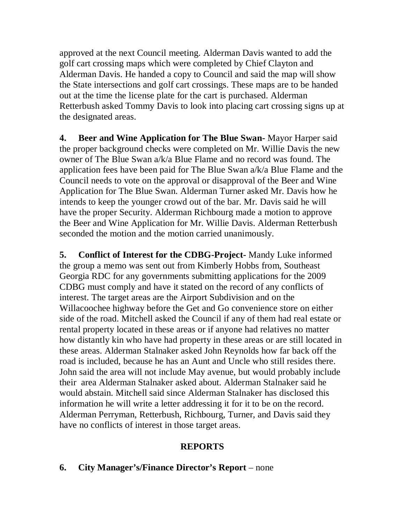approved at the next Council meeting. Alderman Davis wanted to add the golf cart crossing maps which were completed by Chief Clayton and Alderman Davis. He handed a copy to Council and said the map will show the State intersections and golf cart crossings. These maps are to be handed out at the time the license plate for the cart is purchased. Alderman Retterbush asked Tommy Davis to look into placing cart crossing signs up at the designated areas.

**4. Beer and Wine Application for The Blue Swan-** Mayor Harper said the proper background checks were completed on Mr. Willie Davis the new owner of The Blue Swan a/k/a Blue Flame and no record was found. The application fees have been paid for The Blue Swan a/k/a Blue Flame and the Council needs to vote on the approval or disapproval of the Beer and Wine Application for The Blue Swan. Alderman Turner asked Mr. Davis how he intends to keep the younger crowd out of the bar. Mr. Davis said he will have the proper Security. Alderman Richbourg made a motion to approve the Beer and Wine Application for Mr. Willie Davis. Alderman Retterbush seconded the motion and the motion carried unanimously.

**5. Conflict of Interest for the CDBG-Project-** Mandy Luke informed the group a memo was sent out from Kimberly Hobbs from, Southeast Georgia RDC for any governments submitting applications for the 2009 CDBG must comply and have it stated on the record of any conflicts of interest. The target areas are the Airport Subdivision and on the Willacoochee highway before the Get and Go convenience store on either side of the road. Mitchell asked the Council if any of them had real estate or rental property located in these areas or if anyone had relatives no matter how distantly kin who have had property in these areas or are still located in these areas. Alderman Stalnaker asked John Reynolds how far back off the road is included, because he has an Aunt and Uncle who still resides there. John said the area will not include May avenue, but would probably include their area Alderman Stalnaker asked about. Alderman Stalnaker said he would abstain. Mitchell said since Alderman Stalnaker has disclosed this information he will write a letter addressing it for it to be on the record. Alderman Perryman, Retterbush, Richbourg, Turner, and Davis said they have no conflicts of interest in those target areas.

## **REPORTS**

**6. City Manager's/Finance Director's Report** – none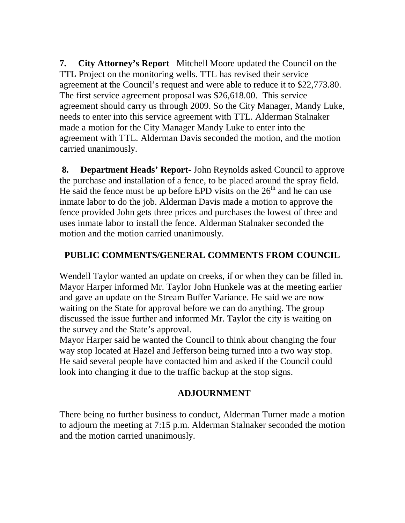**7. City Attorney's Report** Mitchell Moore updated the Council on the TTL Project on the monitoring wells. TTL has revised their service agreement at the Council's request and were able to reduce it to \$22,773.80. The first service agreement proposal was \$26,618.00.This service agreement should carry us through 2009. So the City Manager, Mandy Luke, needs to enter into this service agreement with TTL. Alderman Stalnaker made a motion for the City Manager Mandy Luke to enter into the agreement with TTL. Alderman Davis seconded the motion, and the motion carried unanimously.

**8. Department Heads' Report-** John Reynolds asked Council to approve the purchase and installation of a fence, to be placed around the spray field. He said the fence must be up before EPD visits on the  $26<sup>th</sup>$  and he can use inmate labor to do the job. Alderman Davis made a motion to approve the fence provided John gets three prices and purchases the lowest of three and uses inmate labor to install the fence. Alderman Stalnaker seconded the motion and the motion carried unanimously.

# **PUBLIC COMMENTS/GENERAL COMMENTS FROM COUNCIL**

Wendell Taylor wanted an update on creeks, if or when they can be filled in. Mayor Harper informed Mr. Taylor John Hunkele was at the meeting earlier and gave an update on the Stream Buffer Variance. He said we are now waiting on the State for approval before we can do anything. The group discussed the issue further and informed Mr. Taylor the city is waiting on the survey and the State's approval.

Mayor Harper said he wanted the Council to think about changing the four way stop located at Hazel and Jefferson being turned into a two way stop. He said several people have contacted him and asked if the Council could look into changing it due to the traffic backup at the stop signs.

## **ADJOURNMENT**

There being no further business to conduct, Alderman Turner made a motion to adjourn the meeting at 7:15 p.m. Alderman Stalnaker seconded the motion and the motion carried unanimously.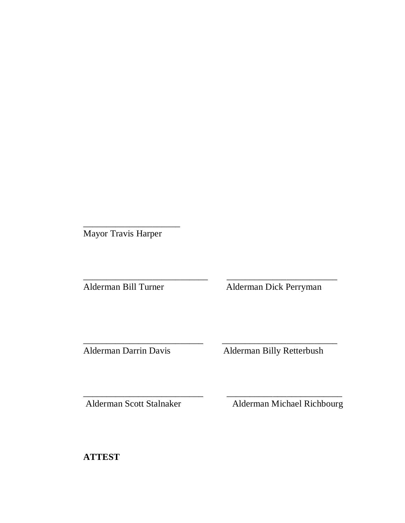Mayor Travis Harper

\_\_\_\_\_\_\_\_\_\_\_\_\_\_\_\_\_\_\_\_\_

\_\_\_\_\_\_\_\_\_\_\_\_\_\_\_\_\_\_\_\_\_\_\_\_\_\_\_ \_\_\_\_\_\_\_\_\_\_\_\_\_\_\_\_\_\_\_\_\_\_\_\_ Alderman Bill Turner Alderman Dick Perryman

\_\_\_\_\_\_\_\_\_\_\_\_\_\_\_\_\_\_\_\_\_\_\_\_\_\_ \_\_\_\_\_\_\_\_\_\_\_\_\_\_\_\_\_\_\_\_\_\_\_\_\_

Alderman Darrin Davis Alderman Billy Retterbush

\_\_\_\_\_\_\_\_\_\_\_\_\_\_\_\_\_\_\_\_\_\_\_\_\_\_ \_\_\_\_\_\_\_\_\_\_\_\_\_\_\_\_\_\_\_\_\_\_\_\_\_ Alderman Scott Stalnaker Alderman Michael Richbourg

**ATTEST**